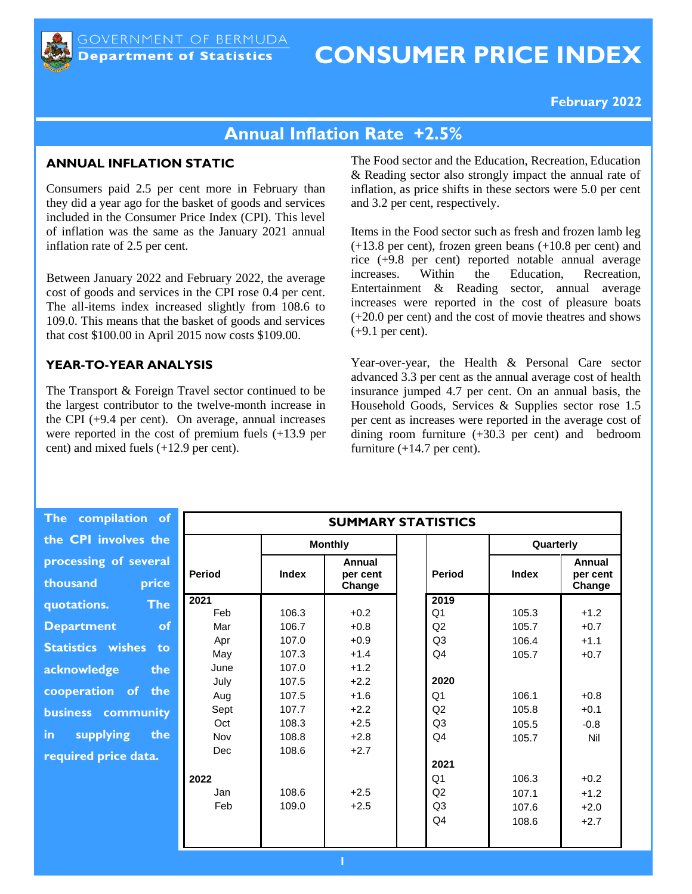# **CONSUMER PRICE INDEX**

**February 2022**

## **Annual Inflation Rate +2.5%**

#### **ANNUAL INFLATION STATIC**

Consumers paid 2.5 per cent more in February than they did a year ago for the basket of goods and services included in the Consumer Price Index (CPI). This level of inflation was the same as the January 2021 annual inflation rate of 2.5 per cent.

Between January 2022 and February 2022, the average cost of goods and services in the CPI rose 0.4 per cent. The all-items index increased slightly from 108.6 to 109.0. This means that the basket of goods and services that cost \$100.00 in April 2015 now costs \$109.00.

#### **YEAR-TO-YEAR ANALYSIS**

The Transport & Foreign Travel sector continued to be the largest contributor to the twelve-month increase in the CPI (+9.4 per cent). On average, annual increases were reported in the cost of premium fuels (+13.9 per cent) and mixed fuels (+12.9 per cent).

The Food sector and the Education, Recreation, Education & Reading sector also strongly impact the annual rate of inflation, as price shifts in these sectors were 5.0 per cent and 3.2 per cent, respectively.

Items in the Food sector such as fresh and frozen lamb leg (+13.8 per cent), frozen green beans (+10.8 per cent) and rice (+9.8 per cent) reported notable annual average increases. Within the Education, Recreation, Entertainment & Reading sector, annual average increases were reported in the cost of pleasure boats (+20.0 per cent) and the cost of movie theatres and shows  $(+9.1$  per cent).

Year-over-year, the Health & Personal Care sector advanced 3.3 per cent as the annual average cost of health insurance jumped 4.7 per cent. On an annual basis, the Household Goods, Services & Supplies sector rose 1.5 per cent as increases were reported in the average cost of dining room furniture (+30.3 per cent) and bedroom furniture  $(+14.7$  per cent).

**The compilation the CPI involves** processing of seve **thousand** pr **quotations. The Department Statistics wishes acknowledge** cooperation of **business** commun **in** supplying **required price data.**

| of         | <b>SUMMARY STATISTICS</b> |              |                              |  |                |              |                              |  |  |
|------------|---------------------------|--------------|------------------------------|--|----------------|--------------|------------------------------|--|--|
| the        |                           |              | <b>Monthly</b>               |  |                | Quarterly    |                              |  |  |
| ral<br>ice | Period                    | <b>Index</b> | Annual<br>per cent<br>Change |  | <b>Period</b>  | <b>Index</b> | Annual<br>per cent<br>Change |  |  |
| <b>he</b>  | 2021                      |              |                              |  | 2019           |              |                              |  |  |
|            | Feb                       | 106.3        | $+0.2$                       |  | Q <sub>1</sub> | 105.3        | $+1.2$                       |  |  |
| of         | Mar                       | 106.7        | $+0.8$                       |  | Q2             | 105.7        | $+0.7$                       |  |  |
| to         | Apr                       | 107.0        | $+0.9$                       |  | Q <sub>3</sub> | 106.4        | $+1.1$                       |  |  |
|            | May                       | 107.3        | $+1.4$                       |  | Q4             | 105.7        | $+0.7$                       |  |  |
| the        | June                      | 107.0        | $+1.2$                       |  |                |              |                              |  |  |
|            | July                      | 107.5        | $+2.2$                       |  | 2020           |              |                              |  |  |
| the        | Aug                       | 107.5        | $+1.6$                       |  | Q <sub>1</sub> | 106.1        | $+0.8$                       |  |  |
| ity        | Sept                      | 107.7        | $+2.2$                       |  | Q2             | 105.8        | $+0.1$                       |  |  |
|            | Oct                       | 108.3        | $+2.5$                       |  | Q <sub>3</sub> | 105.5        | $-0.8$                       |  |  |
| the        | Nov                       | 108.8        | $+2.8$                       |  | Q <sub>4</sub> | 105.7        | Nil                          |  |  |
| L.         | Dec                       | 108.6        | $+2.7$                       |  |                |              |                              |  |  |
|            |                           |              |                              |  | 2021           |              |                              |  |  |
|            | 2022                      |              |                              |  | Q <sub>1</sub> | 106.3        | $+0.2$                       |  |  |
|            | Jan                       | 108.6        | $+2.5$                       |  | Q2             | 107.1        | $+1.2$                       |  |  |
|            | Feb                       | 109.0        | $+2.5$                       |  | Q <sub>3</sub> | 107.6        | $+2.0$                       |  |  |
|            |                           |              |                              |  | Q4             | 108.6        | $+2.7$                       |  |  |
|            |                           |              |                              |  |                |              |                              |  |  |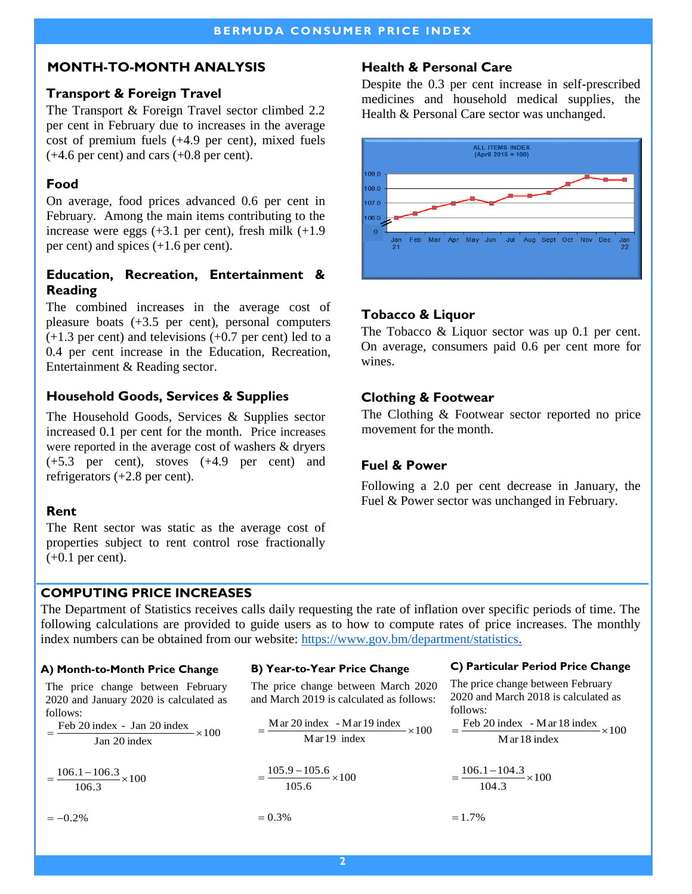### **MONTH-TO-MONTH ANALYSIS**

### **Transport & Foreign Travel**

The Transport & Foreign Travel sector climbed 2.2 per cent in February due to increases in the average cost of premium fuels (+4.9 per cent), mixed fuels  $(+4.6$  per cent) and cars  $(+0.8$  per cent).

## **Food**

On average, food prices advanced 0.6 per cent in February. Among the main items contributing to the increase were eggs  $(+3.1$  per cent), fresh milk  $(+1.9)$ per cent) and spices (+1.6 per cent).

## **Education, Recreation, Entertainment & Reading**

The combined increases in the average cost of pleasure boats (+3.5 per cent), personal computers (+1.3 per cent) and televisions (+0.7 per cent) led to a 0.4 per cent increase in the Education, Recreation, Entertainment & Reading sector.

## **Household Goods, Services & Supplies**

The Household Goods, Services & Supplies sector increased 0.1 per cent for the month. Price increases were reported in the average cost of washers & dryers (+5.3 per cent), stoves (+4.9 per cent) and refrigerators (+2.8 per cent).

## **Rent**

The Rent sector was static as the average cost of properties subject to rent control rose fractionally (+0.1 per cent).

## **Health & Personal Care**

Despite the 0.3 per cent increase in self-prescribed medicines and household medical supplies, the Health & Personal Care sector was unchanged.



## **Tobacco & Liquor**

The Tobacco & Liquor sector was up 0.1 per cent. On average, consumers paid 0.6 per cent more for wines.

## **Clothing & Footwear**

The Clothing & Footwear sector reported no price movement for the month.

## **Fuel & Power**

Following a 2.0 per cent decrease in January, the Fuel & Power sector was unchanged in February.

## **COMPUTING PRICE INCREASES**

The Department of Statistics receives calls daily requesting the rate of inflation over specific periods of time. The following calculations are provided to guide users as to how to compute rates of price increases. The monthly index numbers can be obtained from our website: [https://www.gov.bm/department/statistics.](https://www.gov.bm/department/statistics) 

#### **A) Month-to-Month Price Change**

The price change between February 2020 and January 2020 is calculated as follows:

 $=\frac{\text{Feb }20 \text{ index } - \text{ Jan }20 \text{ index}}{100} \times 100$ Jan 20 index

 $=\frac{106.1-106.3}{2} \times 100$ 106.3

 $=-0.2\%$ 

#### **B) Year-to-Year Price Change**

The price change between March 2020 and March 2019 is calculated as follows:

$$
= \frac{\text{M} \text{ar } 20 \text{ index } - \text{M} \text{ar } 19 \text{ index}}{\text{M} \text{ar } 19 \text{ index}} \times 100
$$

$$
=\frac{105.9-105.6}{105.6}\times100
$$

$$
= 0.3\%
$$

## **C) Particular Period Price Change**

The price change between February 2020 and March 2018 is calculated as follows:

 $=\frac{\text{Feb }20 \text{ index } - \text{Mar }18 \text{ index}}{100} \times 100$ Mar 18 index

$$
=\frac{106.1-104.3}{104.3}\times100
$$

 $=1.7%$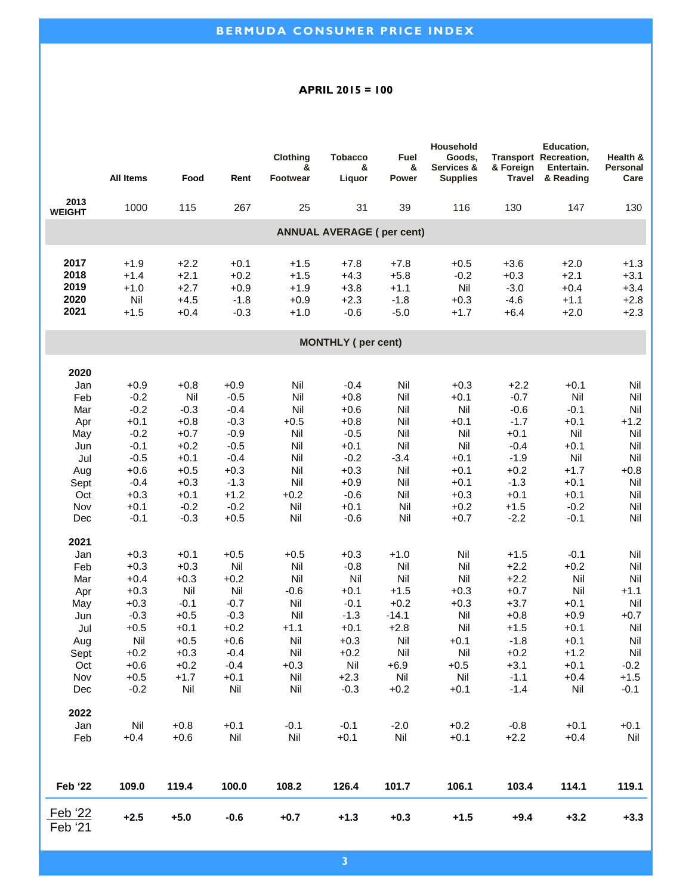#### **APRIL 2015 = 100**

|                                  |                  |               |               | <b>Clothing</b> | <b>Tobacco</b>             | Fuel          | Household<br>Goods, |                  | Education.<br><b>Transport Recreation,</b> | Health &         |
|----------------------------------|------------------|---------------|---------------|-----------------|----------------------------|---------------|---------------------|------------------|--------------------------------------------|------------------|
|                                  |                  |               |               | &               | &                          | &             | Services &          | & Foreign        | Entertain.                                 | Personal         |
|                                  | <b>All Items</b> | Food          | Rent          | <b>Footwear</b> | Liquor                     | Power         | <b>Supplies</b>     | <b>Travel</b>    | & Reading                                  | Care             |
| 2013<br><b>WEIGHT</b>            | 1000             | 115           | 267           | 25              | 31                         | 39            | 116                 | 130              | 147                                        | 130              |
| <b>ANNUAL AVERAGE (per cent)</b> |                  |               |               |                 |                            |               |                     |                  |                                            |                  |
| 2017                             | $+1.9$           | $+2.2$        | $+0.1$        | $+1.5$          | $+7.8$                     | $+7.8$        | $+0.5$              | $+3.6$           | $+2.0$                                     | $+1.3$           |
| 2018                             | $+1.4$           | $+2.1$        | $+0.2$        | $+1.5$          | $+4.3$                     | $+5.8$        | $-0.2$              | $+0.3$           | $+2.1$                                     | $+3.1$           |
| 2019                             | $+1.0$           | $+2.7$        | $+0.9$        | $+1.9$          | $+3.8$                     | $+1.1$        | Nil                 | $-3.0$           | $+0.4$                                     | $+3.4$           |
| 2020                             | Nil              | $+4.5$        | $-1.8$        | $+0.9$          | $+2.3$                     | $-1.8$        | $+0.3$              | $-4.6$           | $+1.1$                                     | $+2.8$           |
| 2021                             | $+1.5$           | $+0.4$        | $-0.3$        | $+1.0$          | $-0.6$                     | $-5.0$        | $+1.7$              | $+6.4$           | $+2.0$                                     | $+2.3$           |
|                                  |                  |               |               |                 | <b>MONTHLY</b> ( per cent) |               |                     |                  |                                            |                  |
|                                  |                  |               |               |                 |                            |               |                     |                  |                                            |                  |
| 2020                             | $+0.9$           | $+0.8$        | $+0.9$        | Nil             | $-0.4$                     | Nil           | $+0.3$              | $+2.2$           | $+0.1$                                     | Nil              |
| Jan<br>Feb                       | $-0.2$           | Nil           | $-0.5$        | Nil             | $+0.8$                     | Nil           | $+0.1$              | $-0.7$           | Nil                                        | Nil              |
| Mar                              | $-0.2$           | $-0.3$        | $-0.4$        | Nil             | $+0.6$                     | Nil           | Nil                 | $-0.6$           | $-0.1$                                     | Nil              |
| Apr                              | $+0.1$           | $+0.8$        | $-0.3$        | $+0.5$          | $+0.8$                     | Nil           | $+0.1$              | $-1.7$           | $+0.1$                                     | $+1.2$           |
| May                              | $-0.2$           | $+0.7$        | $-0.9$        | Nil             | $-0.5$                     | Nil           | Nil                 | $+0.1$           | Nil                                        | Nil              |
| Jun                              | $-0.1$           | $+0.2$        | $-0.5$        | Nil             | $+0.1$                     | Nil           | Nil                 | $-0.4$           | $+0.1$                                     | Nil              |
| Jul                              | $-0.5$           | $+0.1$        | $-0.4$        | Nil             | $-0.2$                     | $-3.4$        | $+0.1$              | $-1.9$           | Nil                                        | Nil              |
| Aug                              | $+0.6$           | $+0.5$        | $+0.3$        | Nil             | $+0.3$                     | Nil           | $+0.1$              | $+0.2$           | $+1.7$                                     | $+0.8$           |
| Sept                             | $-0.4$           | $+0.3$        | $-1.3$        | Nil             | $+0.9$                     | Nil           | $+0.1$              | $-1.3$           | $+0.1$                                     | Nil              |
| Oct                              | $+0.3$           | $+0.1$        | $+1.2$        | $+0.2$          | $-0.6$                     | Nil           | $+0.3$              | $+0.1$           | $+0.1$                                     | Nil              |
| Nov                              | $+0.1$           | $-0.2$        | $-0.2$        | Nil             | $+0.1$                     | Nil           | $+0.2$              | $+1.5$           | $-0.2$                                     | Nil              |
| Dec                              | $-0.1$           | $-0.3$        | $+0.5$        | Nil             | $-0.6$                     | Nil           | $+0.7$              | $-2.2$           | $-0.1$                                     | Nil              |
| 2021                             |                  |               |               |                 |                            |               |                     |                  |                                            |                  |
| Jan                              | $+0.3$           | $+0.1$        | $+0.5$        | $+0.5$          | $+0.3$                     | $+1.0$        | Nil                 | $+1.5$           | $-0.1$                                     | Nil              |
| Feb                              | $+0.3$           | $+0.3$        | Nil           | Nil             | $-0.8$                     | Nil           | Nil                 | $+2.2$           | $+0.2$                                     | Nil              |
| Mar                              | $+0.4$           | $+0.3$        | $+0.2$        | Nil             | Nil                        | Nil           | Nil                 | $+2.2$           | Nil                                        | Nil              |
| Apr                              | $+0.3$           | Nil           | Nil           | $-0.6$          | $+0.1$                     | $+1.5$        | $+0.3$              | $+0.7$           | Nil                                        | $+1.1$           |
| May                              | $+0.3$           | $-0.1$        | $-0.7$        | Nil             | $-0.1$                     | $+0.2$        | $+0.3$              | $+3.7$           | $+0.1$                                     | Nil              |
| Jun                              | $-0.3$           | $+0.5$        | $-0.3$        | Nil             | $-1.3$                     | $-14.1$       | Nil                 | $+0.8$           | $+0.9$                                     | $+0.7$           |
| Jul                              | $+0.5$           | $+0.1$        | $+0.2$        | $+1.1$          | $+0.1$                     | $+2.8$        | Nil                 | $+1.5$           | $+0.1$                                     | Nil              |
| Aug                              | Nil              | $+0.5$        | $+0.6$        | Nil             | $+0.3$                     | Nil           | $+0.1$              | $-1.8$           | $+0.1$                                     | Nil              |
| Sept                             | $+0.2$           | $+0.3$        | $-0.4$        | Nil             | $+0.2$                     | Nil           | Nil                 | $+0.2$           | $+1.2$                                     | Nil              |
| Oct                              | $+0.6$           | $+0.2$        | $-0.4$        | $+0.3$          | Nil                        | $+6.9$        | $+0.5$              | $+3.1$           | $+0.1$                                     | $-0.2$           |
| Nov<br>Dec                       | $+0.5$<br>$-0.2$ | $+1.7$<br>Nil | $+0.1$<br>Nil | Nil<br>Nil      | $+2.3$<br>$-0.3$           | Nil<br>$+0.2$ | Nil<br>$+0.1$       | $-1.1$<br>$-1.4$ | $+0.4$<br>Nil                              | $+1.5$<br>$-0.1$ |
|                                  |                  |               |               |                 |                            |               |                     |                  |                                            |                  |
| 2022                             |                  |               |               |                 |                            |               |                     |                  |                                            |                  |
| Jan                              | Nil              | $+0.8$        | $+0.1$        | $-0.1$          | $-0.1$                     | $-2.0$        | $+0.2$              | $-0.8$           | $+0.1$                                     | $+0.1$           |
| Feb                              | $+0.4$           | $+0.6$        | Nil           | Nil             | $+0.1$                     | Nil           | $+0.1$              | $+2.2$           | $+0.4$                                     | Nil              |
| <b>Feb '22</b>                   | 109.0            | 119.4         | 100.0         | 108.2           | 126.4                      | 101.7         | 106.1               | 103.4            | 114.1                                      | 119.1            |
| Feb '22<br>Feb '21               | $+2.5$           | $+5.0$        | $-0.6$        | $+0.7$          | $+1.3$                     | $+0.3$        | $+1.5$              | $+9.4$           | $+3.2$                                     | $+3.3$           |